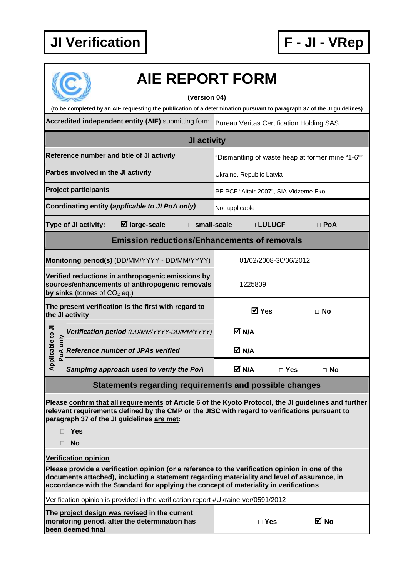

| <b>AIE REPORT FORM</b><br>(version 04)                                                                                                                                                                                                                                                  |                                                                                                                                       |                                                  |            |            |  |  |  |  |  |
|-----------------------------------------------------------------------------------------------------------------------------------------------------------------------------------------------------------------------------------------------------------------------------------------|---------------------------------------------------------------------------------------------------------------------------------------|--------------------------------------------------|------------|------------|--|--|--|--|--|
| (to be completed by an AIE requesting the publication of a determination pursuant to paragraph 37 of the JI guidelines)                                                                                                                                                                 |                                                                                                                                       |                                                  |            |            |  |  |  |  |  |
|                                                                                                                                                                                                                                                                                         | Accredited independent entity (AIE) submitting form                                                                                   | <b>Bureau Veritas Certification Holding SAS</b>  |            |            |  |  |  |  |  |
| JI activity                                                                                                                                                                                                                                                                             |                                                                                                                                       |                                                  |            |            |  |  |  |  |  |
|                                                                                                                                                                                                                                                                                         | Reference number and title of JI activity                                                                                             | "Dismantling of waste heap at former mine "1-6"" |            |            |  |  |  |  |  |
|                                                                                                                                                                                                                                                                                         | Parties involved in the JI activity                                                                                                   | Ukraine, Republic Latvia                         |            |            |  |  |  |  |  |
|                                                                                                                                                                                                                                                                                         | <b>Project participants</b>                                                                                                           | PE PCF "Altair-2007", SIA Vidzeme Eko            |            |            |  |  |  |  |  |
|                                                                                                                                                                                                                                                                                         | Coordinating entity (applicable to JI PoA only)                                                                                       | Not applicable                                   |            |            |  |  |  |  |  |
|                                                                                                                                                                                                                                                                                         | $\boxtimes$ large-scale<br>$\square$ small-scale<br><b>Type of JI activity:</b>                                                       |                                                  | □ LULUCF   | $\Box$ PoA |  |  |  |  |  |
| <b>Emission reductions/Enhancements of removals</b>                                                                                                                                                                                                                                     |                                                                                                                                       |                                                  |            |            |  |  |  |  |  |
| Monitoring period(s) (DD/MM/YYYY - DD/MM/YYYY)<br>01/02/2008-30/06/2012                                                                                                                                                                                                                 |                                                                                                                                       |                                                  |            |            |  |  |  |  |  |
|                                                                                                                                                                                                                                                                                         | Verified reductions in anthropogenic emissions by<br>sources/enhancements of anthropogenic removals<br>by sinks (tonnes of $CO2$ eq.) | 1225809                                          |            |            |  |  |  |  |  |
|                                                                                                                                                                                                                                                                                         | The present verification is the first with regard to<br>the JI activity                                                               | <b>Ø</b> Yes                                     |            | ⊟ No       |  |  |  |  |  |
|                                                                                                                                                                                                                                                                                         | Verification period (DD/MM/YYYY-DD/MM/YYYY)                                                                                           | M N/A                                            |            |            |  |  |  |  |  |
| Applicable to JI<br>PoA only                                                                                                                                                                                                                                                            | <b>Reference number of JPAs verified</b>                                                                                              | M N/A                                            |            |            |  |  |  |  |  |
|                                                                                                                                                                                                                                                                                         | Sampling approach used to verify the PoA                                                                                              | M N/A                                            | $\Box$ Yes | $\Box$ No  |  |  |  |  |  |
|                                                                                                                                                                                                                                                                                         | Statements regarding requirements and possible changes                                                                                |                                                  |            |            |  |  |  |  |  |
| Please confirm that all requirements of Article 6 of the Kyoto Protocol, the JI guidelines and further<br>relevant requirements defined by the CMP or the JISC with regard to verifications pursuant to<br>paragraph 37 of the JI guidelines are met:<br>Yes<br><b>No</b>               |                                                                                                                                       |                                                  |            |            |  |  |  |  |  |
| <b>Verification opinion</b>                                                                                                                                                                                                                                                             |                                                                                                                                       |                                                  |            |            |  |  |  |  |  |
| Please provide a verification opinion (or a reference to the verification opinion in one of the<br>documents attached), including a statement regarding materiality and level of assurance, in<br>accordance with the Standard for applying the concept of materiality in verifications |                                                                                                                                       |                                                  |            |            |  |  |  |  |  |
| Verification opinion is provided in the verification report #Ukraine-ver/0591/2012                                                                                                                                                                                                      |                                                                                                                                       |                                                  |            |            |  |  |  |  |  |
|                                                                                                                                                                                                                                                                                         | The project design was revised in the current<br>monitoring period, after the determination has<br>been deemed final                  |                                                  | $\Box$ Yes | ⊠ No       |  |  |  |  |  |